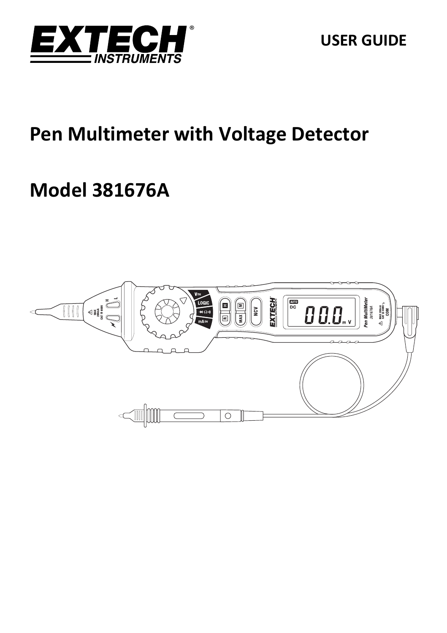

# **Pen Multimeter with Voltage Detector**

# **Model 381676A**

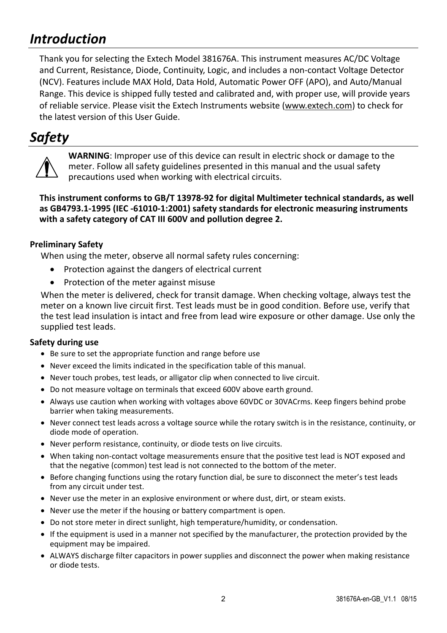# *Introduction*

Thank you for selecting the Extech Model 381676A. This instrument measures AC/DC Voltage and Current, Resistance, Diode, Continuity, Logic, and includes a non‐contact Voltage Detector (NCV). Features include MAX Hold, Data Hold, Automatic Power OFF (APO), and Auto/Manual Range. This device is shipped fully tested and calibrated and, with proper use, will provide years of reliable service. Please visit the Extech Instruments website (www.extech.com) to check for the latest version of this User Guide.

## *Safety*



**WARNING**: Improper use of this device can result in electric shock or damage to the meter. Follow all safety guidelines presented in this manual and the usual safety precautions used when working with electrical circuits.

#### **This instrument conforms to GB/T 13978‐92 for digital Multimeter technical standards, as well as GB4793.1‐1995 (IEC ‐61010‐1:2001) safety standards for electronic measuring instruments with a safety category of CAT III 600V and pollution degree 2.**

#### **Preliminary Safety**

When using the meter, observe all normal safety rules concerning:

- Protection against the dangers of electrical current
- Protection of the meter against misuse

When the meter is delivered, check for transit damage. When checking voltage, always test the meter on a known live circuit first. Test leads must be in good condition. Before use, verify that the test lead insulation is intact and free from lead wire exposure or other damage. Use only the supplied test leads.

#### **Safety during use**

- Be sure to set the appropriate function and range before use
- Never exceed the limits indicated in the specification table of this manual.
- Never touch probes, test leads, or alligator clip when connected to live circuit.
- Do not measure voltage on terminals that exceed 600V above earth ground.
- Always use caution when working with voltages above 60VDC or 30VACrms. Keep fingers behind probe barrier when taking measurements.
- Never connect test leads across a voltage source while the rotary switch is in the resistance, continuity, or diode mode of operation.
- Never perform resistance, continuity, or diode tests on live circuits.
- When taking non-contact voltage measurements ensure that the positive test lead is NOT exposed and that the negative (common) test lead is not connected to the bottom of the meter.
- Before changing functions using the rotary function dial, be sure to disconnect the meter's test leads from any circuit under test.
- Never use the meter in an explosive environment or where dust, dirt, or steam exists.
- Never use the meter if the housing or battery compartment is open.
- Do not store meter in direct sunlight, high temperature/humidity, or condensation.
- If the equipment is used in a manner not specified by the manufacturer, the protection provided by the equipment may be impaired.
- ALWAYS discharge filter capacitors in power supplies and disconnect the power when making resistance or diode tests.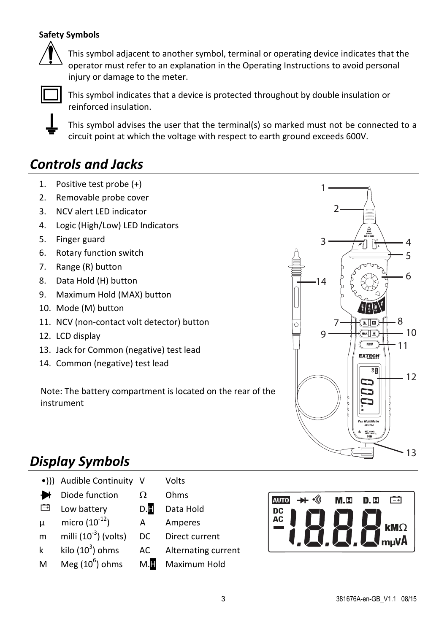#### **Safety Symbols**



This symbol adjacent to another symbol, terminal or operating device indicates that the operator must refer to an explanation in the Operating Instructions to avoid personal injury or damage to the meter.



This symbol indicates that a device is protected throughout by double insulation or reinforced insulation.

This symbol advises the user that the terminal(s) so marked must not be connected to a circuit point at which the voltage with respect to earth ground exceeds 600V.

# *Controls and Jacks*

- 1. Positive test probe (+)
- 2. Removable probe cover
- 3. NCV alert LED indicator
- 4. Logic (High/Low) LED Indicators
- 5. Finger guard
- 6. Rotary function switch
- 7. Range (R) button
- 8. Data Hold (H) button
- 9. Maximum Hold (MAX) button
- 10. Mode (M) button
- 11. NCV (non-contact volt detector) button
- 12. LCD display
- 13. Jack for Common (negative) test lead
- 14. Common (negative) test lead

Note: The battery compartment is located on the rear of the instrument



# *Display Symbols*

- •))) Audible Continuity V Volts
- ₩ Diode function  $\Omega$  Ohms
- $\Box$ Low battery D.H Data Hold
- $\mu$  micro (10<sup>-12</sup>) A Amperes
- m milli  $(10^{-3})$  (volts)
- k kilo  $(10^3)$  ohms
- M Meg  $(10^6)$  ohms
- 
- 
- 
- 
- DC Direct current
- AC Alternating current
- M.**H** Maximum Hold

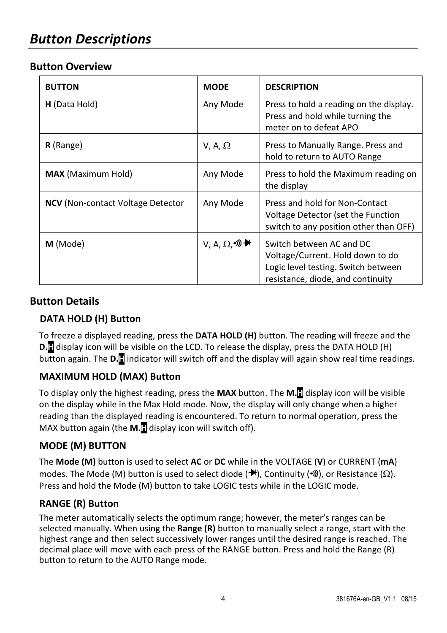## *Button Descriptions*

#### **Button Overview**

| <b>BUTTON</b>                            | <b>MODE</b>             | <b>DESCRIPTION</b>                                                                                                                       |
|------------------------------------------|-------------------------|------------------------------------------------------------------------------------------------------------------------------------------|
| H (Data Hold)                            | Any Mode                | Press to hold a reading on the display.<br>Press and hold while turning the<br>meter on to defeat APO                                    |
| R (Range)                                | V, A, $\Omega$          | Press to Manually Range. Press and<br>hold to return to AUTO Range                                                                       |
| <b>MAX</b> (Maximum Hold)                | Any Mode                | Press to hold the Maximum reading on<br>the display                                                                                      |
| <b>NCV</b> (Non-contact Voltage Detector | Any Mode                | Press and hold for Non-Contact<br>Voltage Detector (set the Function<br>switch to any position other than OFF)                           |
| M (Mode)                                 | $V, A, Ω,$ <sup>•</sup> | Switch between AC and DC<br>Voltage/Current. Hold down to do<br>Logic level testing. Switch between<br>resistance, diode, and continuity |

### **Button Details**

#### **DATA HOLD (H) Button**

To freeze a displayed reading, press the **DATA HOLD (H)** button. The reading will freeze and the **D.H** display icon will be visible on the LCD. To release the display, press the DATA HOLD (H) button again. The **D.H** indicator will switch off and the display will again show real time readings.

#### **MAXIMUM HOLD (MAX) Button**

To display only the highest reading, press the **MAX** button. The **M.H** display icon will be visible on the display while in the Max Hold mode. Now, the display will only change when a higher reading than the displayed reading is encountered. To return to normal operation, press the MAX button again (the **M.H** display icon will switch off).

#### **MODE (M) BUTTON**

The **Mode (M)** button is used to select **AC** or **DC** while in the VOLTAGE (**V**) or CURRENT (**mA**) modes. The Mode (M) button is used to select diode ( $\blacktriangleright$ ), Continuity ( $\mathcal{W}$ ), or Resistance ( $\Omega$ ). Press and hold the Mode (M) button to take LOGIC tests while in the LOGIC mode.

#### **RANGE (R) Button**

The meter automatically selects the optimum range; however, the meter's ranges can be selected manually. When using the **Range (R)** button to manually select a range, start with the highest range and then select successively lower ranges until the desired range is reached. The decimal place will move with each press of the RANGE button. Press and hold the Range (R) button to return to the AUTO Range mode.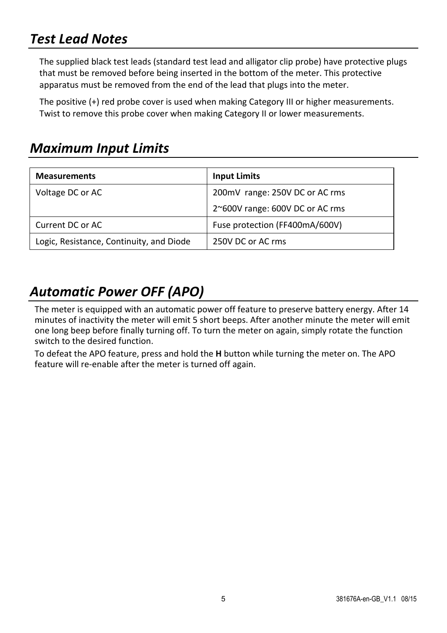# *Test Lead Notes*

The supplied black test leads (standard test lead and alligator clip probe) have protective plugs that must be removed before being inserted in the bottom of the meter. This protective apparatus must be removed from the end of the lead that plugs into the meter.

The positive (+) red probe cover is used when making Category III or higher measurements. Twist to remove this probe cover when making Category II or lower measurements.

### *Maximum Input Limits*

| <b>Measurements</b>                      | <b>Input Limits</b>             |
|------------------------------------------|---------------------------------|
| Voltage DC or AC                         | 200mV range: 250V DC or AC rms  |
|                                          | 2~600V range: 600V DC or AC rms |
| Current DC or AC                         | Fuse protection (FF400mA/600V)  |
| Logic, Resistance, Continuity, and Diode | 250V DC or AC rms               |

# *Automatic Power OFF (APO)*

The meter is equipped with an automatic power off feature to preserve battery energy. After 14 minutes of inactivity the meter will emit 5 short beeps. After another minute the meter will emit one long beep before finally turning off. To turn the meter on again, simply rotate the function switch to the desired function.

To defeat the APO feature, press and hold the **H** button while turning the meter on. The APO feature will re-enable after the meter is turned off again.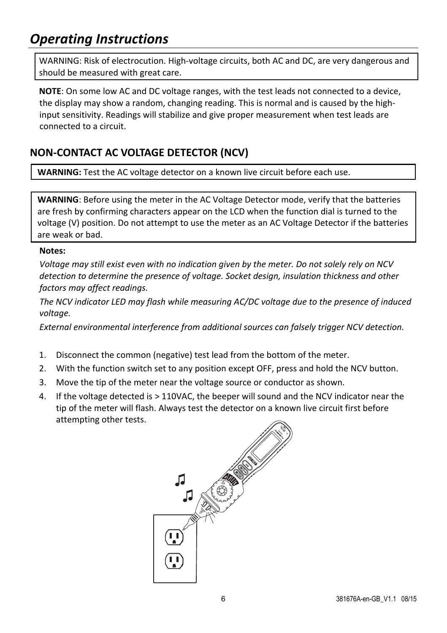# *Operating Instructions*

WARNING: Risk of electrocution. High-voltage circuits, both AC and DC, are very dangerous and should be measured with great care.

**NOTE**: On some low AC and DC voltage ranges, with the test leads not connected to a device, the display may show a random, changing reading. This is normal and is caused by the high‐ input sensitivity. Readings will stabilize and give proper measurement when test leads are connected to a circuit.

### **NON‐CONTACT AC VOLTAGE DETECTOR (NCV)**

**WARNING:** Test the AC voltage detector on a known live circuit before each use.

**WARNING**: Before using the meter in the AC Voltage Detector mode, verify that the batteries are fresh by confirming characters appear on the LCD when the function dial is turned to the voltage (V) position. Do not attempt to use the meter as an AC Voltage Detector if the batteries are weak or bad.

#### **Notes:**

*Voltage may still exist even with no indication given by the meter. Do not solely rely on NCV detection to determine the presence of voltage. Socket design, insulation thickness and other factors may affect readings.*

*The NCV indicator LED may flash while measuring AC/DC voltage due to the presence of induced voltage.*

*External environmental interference from additional sources can falsely trigger NCV detection.*

- 1. Disconnect the common (negative) test lead from the bottom of the meter.
- 2. With the function switch set to any position except OFF, press and hold the NCV button.
- 3. Move the tip of the meter near the voltage source or conductor as shown.
- 4. If the voltage detected is > 110VAC, the beeper will sound and the NCV indicator near the tip of the meter will flash. Always test the detector on a known live circuit first before attempting other tests.

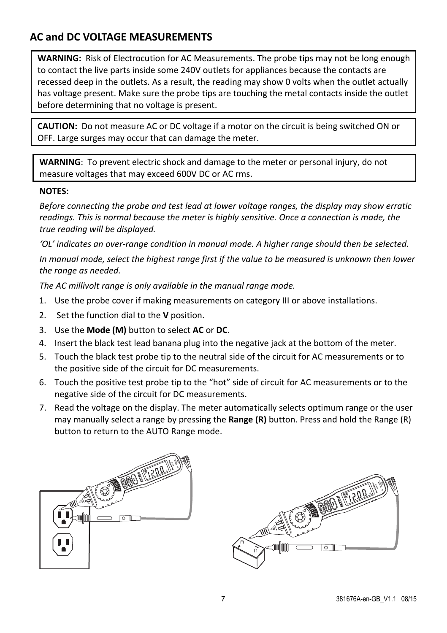### **AC and DC VOLTAGE MEASUREMENTS**

**WARNING:** Risk of Electrocution for AC Measurements. The probe tips may not be long enough to contact the live parts inside some 240V outlets for appliances because the contacts are recessed deep in the outlets. As a result, the reading may show 0 volts when the outlet actually has voltage present. Make sure the probe tips are touching the metal contacts inside the outlet before determining that no voltage is present.

**CAUTION:** Do not measure AC or DC voltage if a motor on the circuit is being switched ON or OFF. Large surges may occur that can damage the meter.

**WARNING**: To prevent electric shock and damage to the meter or personal injury, do not measure voltages that may exceed 600V DC or AC rms.

#### **NOTES:**

*Before connecting the probe and test lead at lower voltage ranges, the display may show erratic readings. This is normal because the meter is highly sensitive. Once a connection is made, the true reading will be displayed.*

*'OL' indicates an over‐range condition in manual mode. A higher range should then be selected.*

*In manual mode, select the highest range first if the value to be measured is unknown then lower the range as needed.*

*The AC millivolt range is only available in the manual range mode.*

- 1. Use the probe cover if making measurements on category III or above installations.
- 2. Set the function dial to the **V** position.
- 3. Use the **Mode (M)** button to select **AC** or **DC**.
- 4. Insert the black test lead banana plug into the negative jack at the bottom of the meter.
- 5. Touch the black test probe tip to the neutral side of the circuit for AC measurements or to the positive side of the circuit for DC measurements.
- 6. Touch the positive test probe tip to the "hot" side of circuit for AC measurements or to the negative side of the circuit for DC measurements.
- 7. Read the voltage on the display. The meter automatically selects optimum range or the user may manually select a range by pressing the **Range (R)** button. Press and hold the Range (R) button to return to the AUTO Range mode.



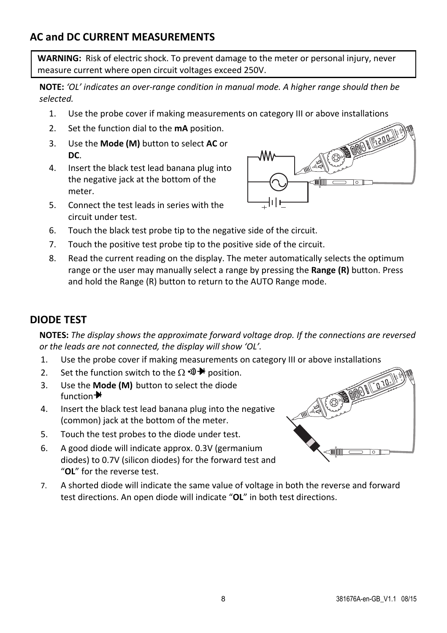### **AC and DC CURRENT MEASUREMENTS**

**WARNING:** Risk of electric shock. To prevent damage to the meter or personal injury, never measure current where open circuit voltages exceed 250V.

**NOTE:** *'OL' indicates an over‐range condition in manual mode. A higher range should then be selected.*

- 1. Use the probe cover if making measurements on category III or above installations
- 2. Set the function dial to the **mA** position.
- 3. Use the **Mode (M)** button to select **AC** or **DC**.
- 4. Insert the black test lead banana plug into the negative jack at the bottom of the meter.
- 5. Connect the test leads in series with the circuit under test.



- 6. Touch the black test probe tip to the negative side of the circuit.
- 7. Touch the positive test probe tip to the positive side of the circuit.
- 8. Read the current reading on the display. The meter automatically selects the optimum range or the user may manually select a range by pressing the **Range (R)** button. Press and hold the Range (R) button to return to the AUTO Range mode.

### **DIODE TEST**

**NOTES:** *The display shows the approximate forward voltage drop. If the connections are reversed or the leads are not connected, the display will show 'OL'.*

- 1. Use the probe cover if making measurements on category III or above installations
- 2. Set the function switch to the  $\Omega \cdot \mathbb{D}$  to position.
- 3. Use the **Mode (M)** button to select the diode  $f$ unction $\biguparrow$
- 4. Insert the black test lead banana plug into the negative (common) jack at the bottom of the meter.
- 5. Touch the test probes to the diode under test.
- 6. A good diode will indicate approx. 0.3V (germanium diodes) to 0.7V (silicon diodes) for the forward test and "**OL**" for the reverse test.
- 7. A shorted diode will indicate the same value of voltage in both the reverse and forward test directions. An open diode will indicate "**OL**" in both test directions.

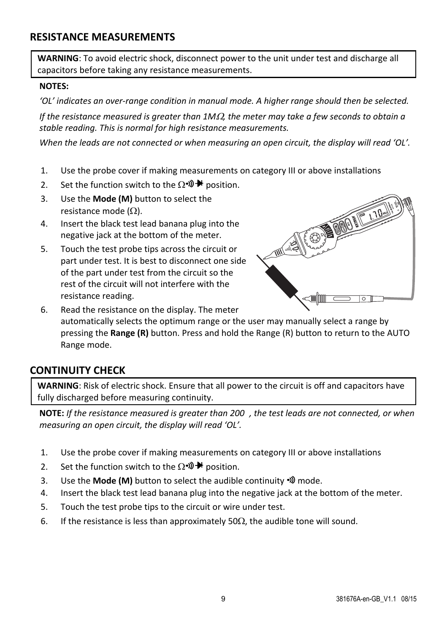#### **RESISTANCE MEASUREMENTS**

**WARNING**: To avoid electric shock, disconnect power to the unit under test and discharge all capacitors before taking any resistance measurements.

#### **NOTES:**

*'OL' indicates an over‐range condition in manual mode. A higher range should then be selected.*

*If the resistance measured is greater than 1M, the meter may take a few seconds to obtain a stable reading. This is normal for high resistance measurements.*

*When the leads are not connected or when measuring an open circuit, the display will read 'OL'.*

- 1. Use the probe cover if making measurements on category III or above installations
- 2. Set the function switch to the  $\Omega \cdot \mathcal{D} \blacktriangleright$  position.
- 3. Use the **Mode (M)** button to select the resistance mode  $(\Omega)$ .
- 4. Insert the black test lead banana plug into the negative jack at the bottom of the meter.
- 5. Touch the test probe tips across the circuit or part under test. It is best to disconnect one side of the part under test from the circuit so the rest of the circuit will not interfere with the resistance reading.



6. Read the resistance on the display. The meter automatically selects the optimum range or the user may manually select a range by pressing the **Range (R)** button. Press and hold the Range (R) button to return to the AUTO Range mode.

#### **CONTINUITY CHECK**

**WARNING**: Risk of electric shock. Ensure that all power to the circuit is off and capacitors have fully discharged before measuring continuity.

**NOTE:** *If the resistance measured is greater than 200, the test leads are not connected, or when measuring an open circuit, the display will read 'OL'.*

- 1. Use the probe cover if making measurements on category III or above installations
- 2. Set the function switch to the  $\Omega \cdot \mathbb{D} \mathbf{P}$  position.
- 3. Use the **Mode (M)** button to select the audible continuity mode.
- 4. Insert the black test lead banana plug into the negative jack at the bottom of the meter.
- 5. Touch the test probe tips to the circuit or wire under test.
- 6. If the resistance is less than approximately 50 $\Omega$ , the audible tone will sound.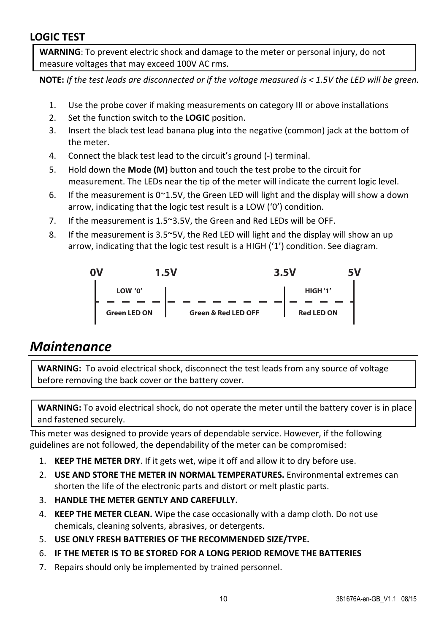#### **LOGIC TEST**

**WARNING**: To prevent electric shock and damage to the meter or personal injury, do not measure voltages that may exceed 100V AC rms.

**NOTE:** If the test leads are disconnected or if the voltage measured is  $<$  1.5V the LED will be green.

- 1. Use the probe cover if making measurements on category III or above installations
- 2. Set the function switch to the **LOGIC** position.
- 3. Insert the black test lead banana plug into the negative (common) jack at the bottom of the meter.
- 4. Connect the black test lead to the circuit's ground (‐) terminal.
- 5. Hold down the **Mode (M)** button and touch the test probe to the circuit for measurement. The LEDs near the tip of the meter will indicate the current logic level.
- 6. If the measurement is  $0^\sim 1.5V$ , the Green LED will light and the display will show a down arrow, indicating that the logic test result is a LOW ('0') condition.
- 7. If the measurement is 1.5~3.5V, the Green and Red LEDs will be OFF.
- 8. If the measurement is 3.5~5V, the Red LED will light and the display will show an up arrow, indicating that the logic test result is a HIGH ('1') condition. See diagram.



### *Maintenance*

**WARNING:** To avoid electrical shock, disconnect the test leads from any source of voltage before removing the back cover or the battery cover.

**WARNING:** To avoid electrical shock, do not operate the meter until the battery cover is in place and fastened securely.

This meter was designed to provide years of dependable service. However, if the following guidelines are not followed, the dependability of the meter can be compromised:

- 1. **KEEP THE METER DRY**. If it gets wet, wipe it off and allow it to dry before use.
- 2. **USE AND STORE THE METER IN NORMAL TEMPERATURES.** Environmental extremes can shorten the life of the electronic parts and distort or melt plastic parts.
- 3. **HANDLE THE METER GENTLY AND CAREFULLY.**
- 4. **KEEP THE METER CLEAN.** Wipe the case occasionally with a damp cloth. Do not use chemicals, cleaning solvents, abrasives, or detergents.
- 5. **USE ONLY FRESH BATTERIES OF THE RECOMMENDED SIZE/TYPE.**
- 6. **IF THE METER IS TO BE STORED FOR A LONG PERIOD REMOVE THE BATTERIES**
- 7. Repairs should only be implemented by trained personnel.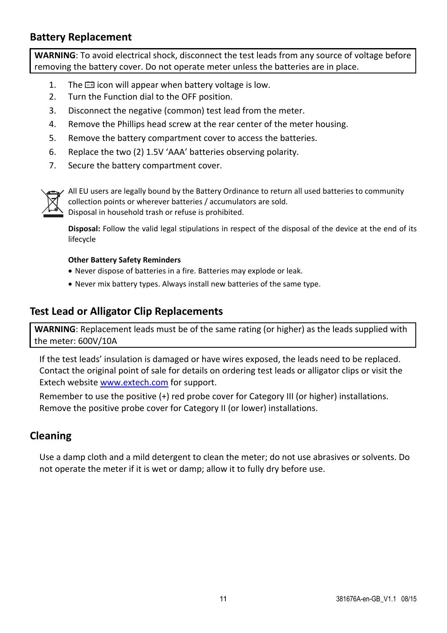#### **Battery Replacement**

**WARNING**: To avoid electrical shock, disconnect the test leads from any source of voltage before removing the battery cover. Do not operate meter unless the batteries are in place.

- 1. The  $\Box$  icon will appear when battery voltage is low.
- 2. Turn the Function dial to the OFF position.
- 3. Disconnect the negative (common) test lead from the meter.
- 4. Remove the Phillips head screw at the rear center of the meter housing.
- 5. Remove the battery compartment cover to access the batteries.
- 6. Replace the two (2) 1.5V 'AAA' batteries observing polarity.
- 7. Secure the battery compartment cover.



All EU users are legally bound by the Battery Ordinance to return all used batteries to community collection points or wherever batteries / accumulators are sold. Disposal in household trash or refuse is prohibited.

**Disposal:** Follow the valid legal stipulations in respect of the disposal of the device at the end of its lifecycle

#### **Other Battery Safety Reminders**

- Never dispose of batteries in a fire. Batteries may explode or leak.
- Never mix battery types. Always install new batteries of the same type.

#### **Test Lead or Alligator Clip Replacements**

**WARNING**: Replacement leads must be of the same rating (or higher) as the leads supplied with the meter: 600V/10A

If the test leads' insulation is damaged or have wires exposed, the leads need to be replaced. Contact the original point of sale for details on ordering test leads or alligator clips or visit the Extech website www.extech.com for support.

Remember to use the positive (+) red probe cover for Category III (or higher) installations. Remove the positive probe cover for Category II (or lower) installations.

### **Cleaning**

Use a damp cloth and a mild detergent to clean the meter; do not use abrasives or solvents. Do not operate the meter if it is wet or damp; allow it to fully dry before use.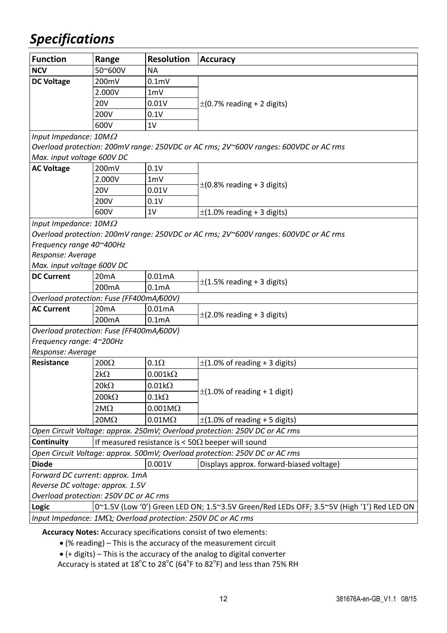# *Specifications*

| <b>Function</b>                                                                                   | Range             | <b>Resolution</b>      | <b>Accuracy</b>                                                                      |  |
|---------------------------------------------------------------------------------------------------|-------------------|------------------------|--------------------------------------------------------------------------------------|--|
| <b>NCV</b>                                                                                        | 50~600V           | <b>NA</b>              |                                                                                      |  |
| <b>DC Voltage</b>                                                                                 | 200mV             | 0.1 <sub>m</sub>       |                                                                                      |  |
|                                                                                                   | 2.000V            | 1mV                    |                                                                                      |  |
|                                                                                                   | <b>20V</b>        | 0.01V                  | $\pm$ (0.7% reading + 2 digits)                                                      |  |
|                                                                                                   | 200V              | 0.1V                   |                                                                                      |  |
|                                                                                                   | 600V              | 1V                     |                                                                                      |  |
| Input Impedance: $10M\Omega$                                                                      |                   |                        |                                                                                      |  |
|                                                                                                   |                   |                        | Overload protection: 200mV range: 250VDC or AC rms; 2V~600V ranges: 600VDC or AC rms |  |
| Max. input voltage 600V DC                                                                        |                   |                        |                                                                                      |  |
| <b>AC Voltage</b>                                                                                 | 200mV             | 0.1V                   |                                                                                      |  |
|                                                                                                   | 2.000V            | 1mV                    | $\pm$ (0.8% reading + 3 digits)                                                      |  |
|                                                                                                   | 20V               | 0.01V                  |                                                                                      |  |
|                                                                                                   | 200V              | 0.1V                   |                                                                                      |  |
|                                                                                                   | 600V              | 1V                     | $\pm$ (1.0% reading + 3 digits)                                                      |  |
| Input Impedance: $10M\Omega$                                                                      |                   |                        |                                                                                      |  |
|                                                                                                   |                   |                        | Overload protection: 200mV range: 250VDC or AC rms; 2V~600V ranges: 600VDC or AC rms |  |
| Frequency range 40~400Hz                                                                          |                   |                        |                                                                                      |  |
| Response: Average                                                                                 |                   |                        |                                                                                      |  |
| Max. input voltage 600V DC                                                                        |                   |                        |                                                                                      |  |
| <b>DC Current</b>                                                                                 | 20 <sub>m</sub> A | 0.01mA                 |                                                                                      |  |
|                                                                                                   | 200mA             | 0.1 <sub>m</sub> A     | $\pm$ (1.5% reading + 3 digits)                                                      |  |
| Overload protection: Fuse (FF400mA/600V)                                                          |                   |                        |                                                                                      |  |
| <b>AC Current</b>                                                                                 | 20 <sub>m</sub> A | 0.01mA                 |                                                                                      |  |
|                                                                                                   | 200mA             | 0.1 <sub>m</sub> A     | $\pm$ (2.0% reading + 3 digits)                                                      |  |
| Overload protection: Fuse (FF400mA/600V)                                                          |                   |                        |                                                                                      |  |
| Frequency range: 4~200Hz                                                                          |                   |                        |                                                                                      |  |
| Response: Average                                                                                 |                   |                        |                                                                                      |  |
| Resistance                                                                                        | $200\Omega$       | $0.1\Omega$            | $\pm$ (1.0% of reading + 3 digits)                                                   |  |
|                                                                                                   | $2k\Omega$        | $0.001k\Omega$         |                                                                                      |  |
|                                                                                                   | $20k\Omega$       | $0.01\mathrm{k}\Omega$ |                                                                                      |  |
|                                                                                                   | $200k\Omega$      | $0.1k\Omega$           | $\pm$ (1.0% of reading + 1 digit)                                                    |  |
|                                                                                                   | $2M\Omega$        | $0.001M\Omega$         |                                                                                      |  |
|                                                                                                   | $20M\Omega$       | $0.01M\Omega$          | $\pm$ (1.0% of reading + 5 digits)                                                   |  |
|                                                                                                   |                   |                        | Open Circuit Voltage: approx. 250mV; Overload protection: 250V DC or AC rms          |  |
| Continuity                                                                                        |                   |                        | If measured resistance is < $50\Omega$ beeper will sound                             |  |
|                                                                                                   |                   |                        | Open Circuit Voltage: approx. 500mV; Overload protection: 250V DC or AC rms          |  |
| <b>Diode</b>                                                                                      |                   | 0.001V                 | Displays approx. forward-biased voltage)                                             |  |
| Forward DC current: approx. 1mA                                                                   |                   |                        |                                                                                      |  |
| Reverse DC voltage: approx. 1.5V                                                                  |                   |                        |                                                                                      |  |
| Overload protection: 250V DC or AC rms                                                            |                   |                        |                                                                                      |  |
| 0~1.5V (Low '0') Green LED ON; 1.5~3.5V Green/Red LEDs OFF; 3.5~5V (High '1') Red LED ON<br>Logic |                   |                        |                                                                                      |  |
| Input Impedance: 1M $\Omega$ ; Overload protection: 250V DC or AC rms                             |                   |                        |                                                                                      |  |

**Accuracy Notes:** Accuracy specifications consist of two elements:

(% reading) – This is the accuracy of the measurement circuit

 $\bullet$  (+ digits) – This is the accuracy of the analog to digital converter

Accuracy is stated at 18<sup>°</sup>C to 28<sup>°</sup>C (64<sup>°</sup>F to 82<sup>°</sup>F) and less than 75% RH